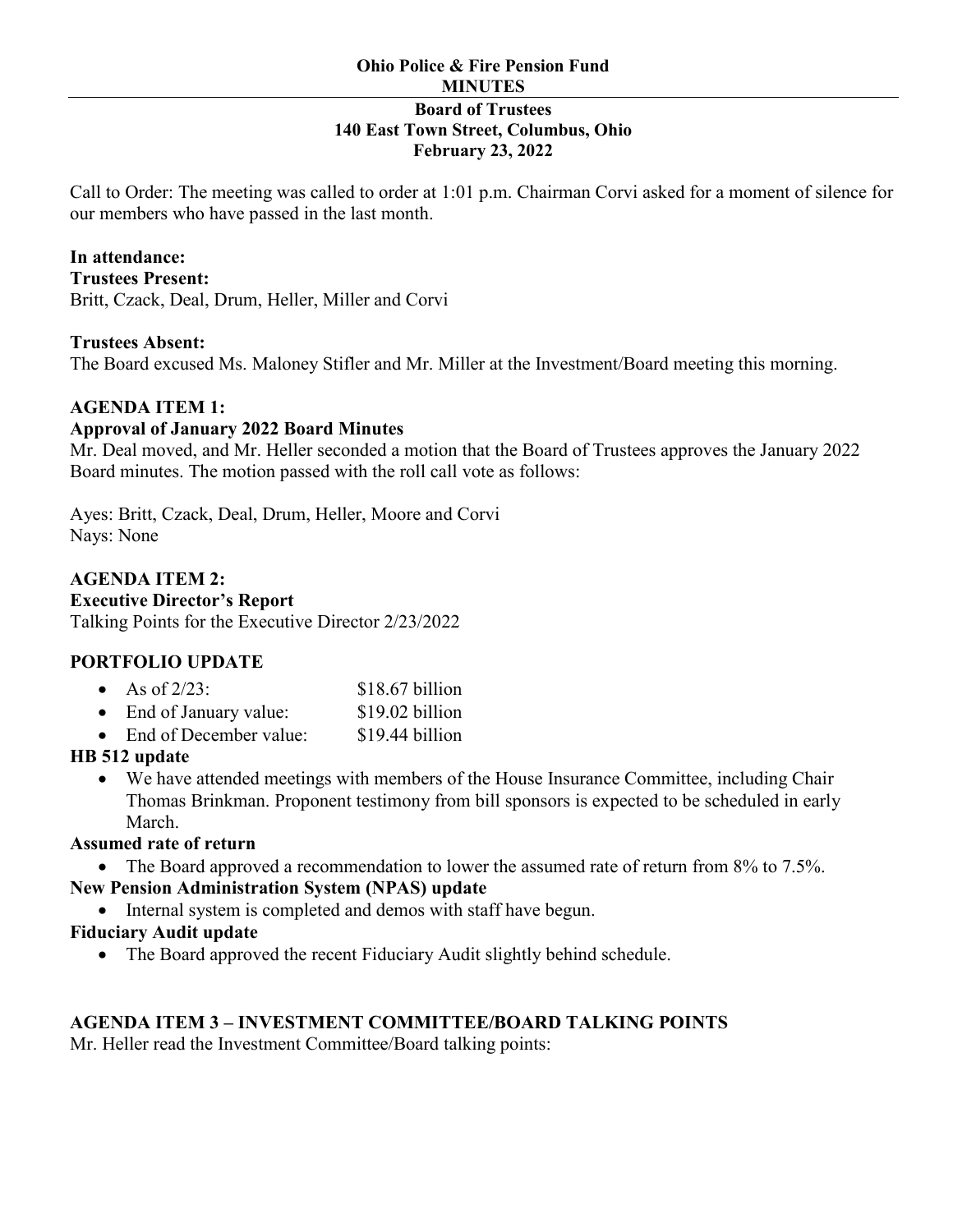Call to Order: The meeting was called to order at 1:01 p.m. Chairman Corvi asked for a moment of silence for our members who have passed in the last month.

### **In attendance:**

**Trustees Present:**  Britt, Czack, Deal, Drum, Heller, Miller and Corvi

#### **Trustees Absent:**

The Board excused Ms. Maloney Stifler and Mr. Miller at the Investment/Board meeting this morning.

### **AGENDA ITEM 1:**

### **Approval of January 2022 Board Minutes**

Mr. Deal moved, and Mr. Heller seconded a motion that the Board of Trustees approves the January 2022 Board minutes. The motion passed with the roll call vote as follows:

Ayes: Britt, Czack, Deal, Drum, Heller, Moore and Corvi Nays: None

## **AGENDA ITEM 2:**

## **Executive Director's Report**

Talking Points for the Executive Director 2/23/2022

# **PORTFOLIO UPDATE**

| $\bullet$ | As of $2/23$ :        | $$18.67$ billion |
|-----------|-----------------------|------------------|
|           | End of January value: | \$19.02 billion  |

• End of December value: \$19.44 billion

# **HB 512 update**

• We have attended meetings with members of the House Insurance Committee, including Chair Thomas Brinkman. Proponent testimony from bill sponsors is expected to be scheduled in early March.

# **Assumed rate of return**

• The Board approved a recommendation to lower the assumed rate of return from 8% to 7.5%.

# **New Pension Administration System (NPAS) update**

• Internal system is completed and demos with staff have begun.

## **Fiduciary Audit update**

• The Board approved the recent Fiduciary Audit slightly behind schedule.

# **AGENDA ITEM 3 – INVESTMENT COMMITTEE/BOARD TALKING POINTS**

Mr. Heller read the Investment Committee/Board talking points: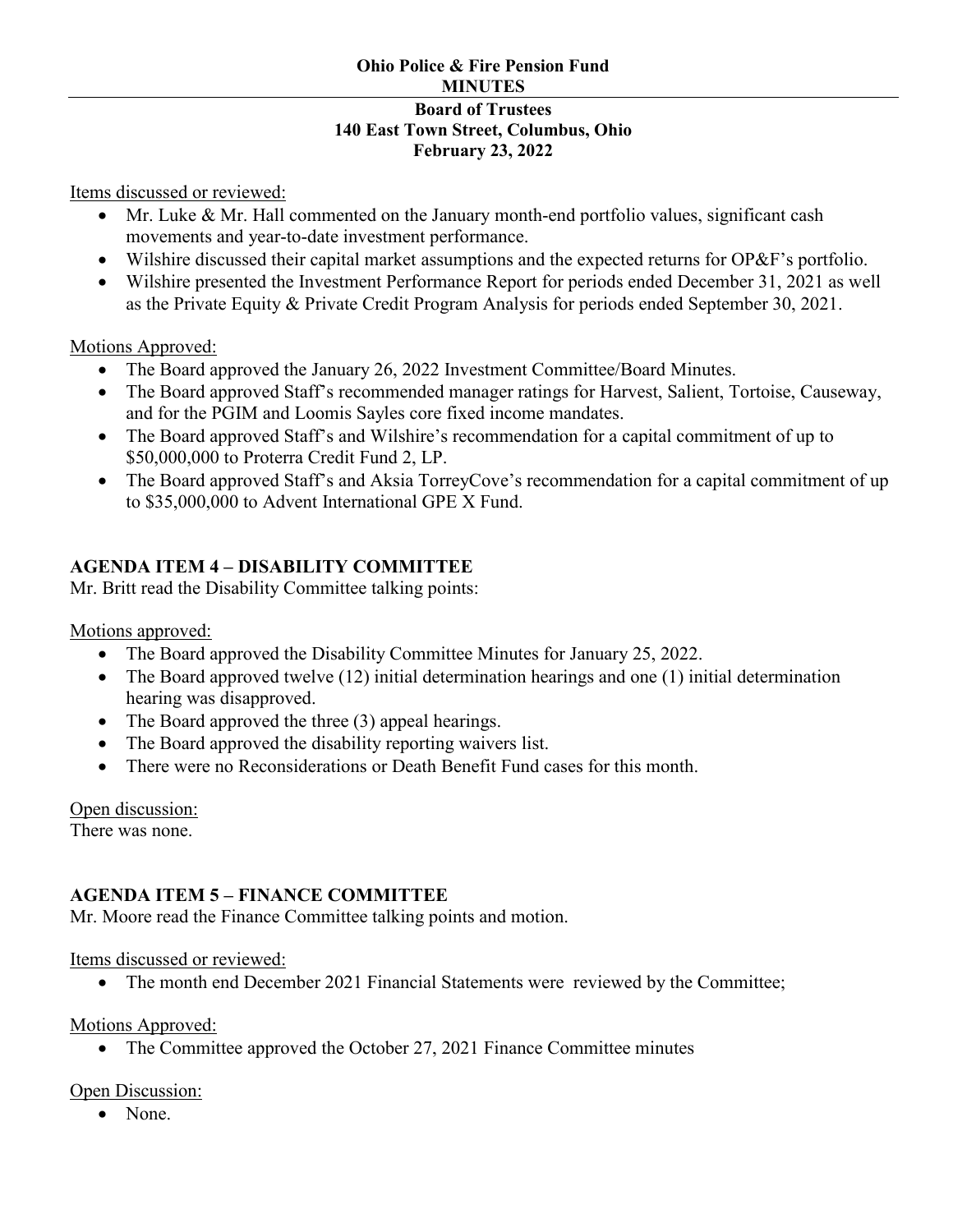Items discussed or reviewed:

- Mr. Luke & Mr. Hall commented on the January month-end portfolio values, significant cash movements and year-to-date investment performance.
- Wilshire discussed their capital market assumptions and the expected returns for OP&F's portfolio.
- Wilshire presented the Investment Performance Report for periods ended December 31, 2021 as well as the Private Equity & Private Credit Program Analysis for periods ended September 30, 2021.

Motions Approved:

- The Board approved the January 26, 2022 Investment Committee/Board Minutes.
- The Board approved Staff's recommended manager ratings for Harvest, Salient, Tortoise, Causeway, and for the PGIM and Loomis Sayles core fixed income mandates.
- The Board approved Staff's and Wilshire's recommendation for a capital commitment of up to \$50,000,000 to Proterra Credit Fund 2, LP.
- The Board approved Staff's and Aksia TorreyCove's recommendation for a capital commitment of up to \$35,000,000 to Advent International GPE X Fund.

# **AGENDA ITEM 4 – DISABILITY COMMITTEE**

Mr. Britt read the Disability Committee talking points:

Motions approved:

- The Board approved the Disability Committee Minutes for January 25, 2022.
- The Board approved twelve (12) initial determination hearings and one (1) initial determination hearing was disapproved.
- The Board approved the three (3) appeal hearings.
- The Board approved the disability reporting waivers list.
- There were no Reconsiderations or Death Benefit Fund cases for this month.

Open discussion: There was none.

# **AGENDA ITEM 5 – FINANCE COMMITTEE**

Mr. Moore read the Finance Committee talking points and motion.

Items discussed or reviewed:

• The month end December 2021 Financial Statements were reviewed by the Committee;

Motions Approved:

• The Committee approved the October 27, 2021 Finance Committee minutes

Open Discussion:

• None.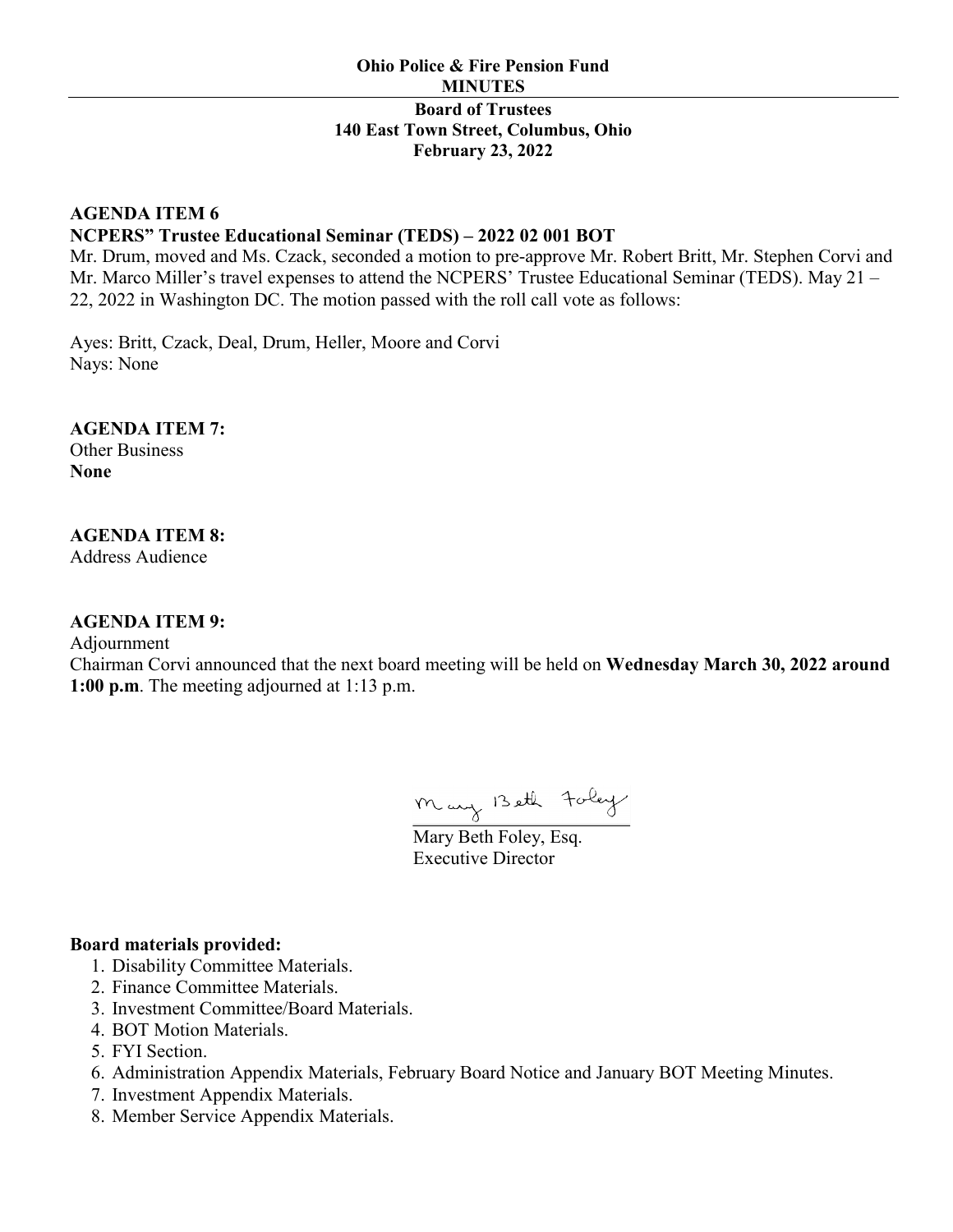## **AGENDA ITEM 6 NCPERS" Trustee Educational Seminar (TEDS) – 2022 02 001 BOT**

Mr. Drum, moved and Ms. Czack, seconded a motion to pre-approve Mr. Robert Britt, Mr. Stephen Corvi and Mr. Marco Miller's travel expenses to attend the NCPERS' Trustee Educational Seminar (TEDS). May 21 -22, 2022 in Washington DC. The motion passed with the roll call vote as follows:

Ayes: Britt, Czack, Deal, Drum, Heller, Moore and Corvi Nays: None

**AGENDA ITEM 7:** Other Business

**None**

# **AGENDA ITEM 8:**

Address Audience

# **AGENDA ITEM 9:**

Adjournment

Chairman Corvi announced that the next board meeting will be held on **Wednesday March 30, 2022 around 1:00 p.m**. The meeting adjourned at 1:13 p.m.

Mary Beth Foley

Executive Director

### **Board materials provided:**

- 1. Disability Committee Materials.
- 2. Finance Committee Materials.
- 3. Investment Committee/Board Materials.
- 4. BOT Motion Materials.
- 5. FYI Section.
- 6. Administration Appendix Materials, February Board Notice and January BOT Meeting Minutes.
- 7. Investment Appendix Materials.
- 8. Member Service Appendix Materials.